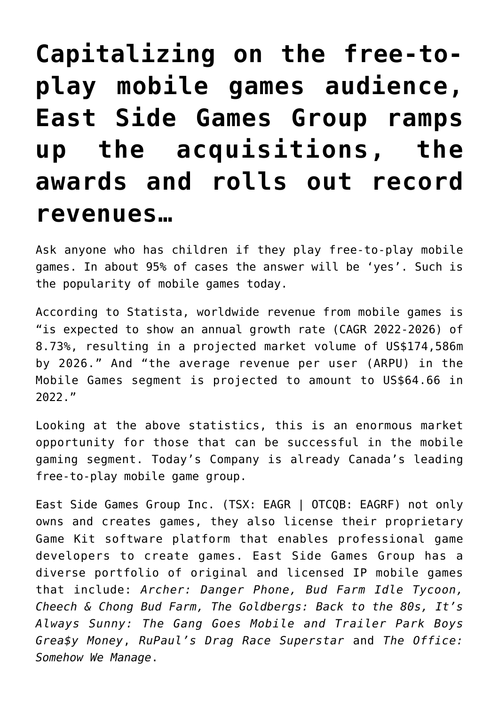# **[Capitalizing on the free-to](https://investorintel.com/markets/esports-gaming/esports-gaming-intel/capitalizing-on-the-free-to-play-mobile-games-audience-east-side-games-group-ramps-up-the-acquisitions-awards-and-rolls-out-record-revenues/)[play mobile games audience,](https://investorintel.com/markets/esports-gaming/esports-gaming-intel/capitalizing-on-the-free-to-play-mobile-games-audience-east-side-games-group-ramps-up-the-acquisitions-awards-and-rolls-out-record-revenues/) [East Side Games Group ramps](https://investorintel.com/markets/esports-gaming/esports-gaming-intel/capitalizing-on-the-free-to-play-mobile-games-audience-east-side-games-group-ramps-up-the-acquisitions-awards-and-rolls-out-record-revenues/) [up the acquisitions, the](https://investorintel.com/markets/esports-gaming/esports-gaming-intel/capitalizing-on-the-free-to-play-mobile-games-audience-east-side-games-group-ramps-up-the-acquisitions-awards-and-rolls-out-record-revenues/) [awards and rolls out record](https://investorintel.com/markets/esports-gaming/esports-gaming-intel/capitalizing-on-the-free-to-play-mobile-games-audience-east-side-games-group-ramps-up-the-acquisitions-awards-and-rolls-out-record-revenues/) [revenues…](https://investorintel.com/markets/esports-gaming/esports-gaming-intel/capitalizing-on-the-free-to-play-mobile-games-audience-east-side-games-group-ramps-up-the-acquisitions-awards-and-rolls-out-record-revenues/)**

Ask anyone who has children if they play free-to-play mobile games. In about 95% of cases the answer will be 'yes'. Such is the popularity of mobile games today.

[According to Statista,](https://www.statista.com/outlook/dmo/digital-media/video-games/mobile-games/worldwide) worldwide revenue from mobile games is "is expected to show an annual growth rate (CAGR 2022-2026) of 8.73%, resulting in a projected market volume of US\$174,586m by 2026." And "the average revenue per user (ARPU) in the Mobile Games segment is projected to amount to US\$64.66 in 2022."

Looking at the above statistics, this is an enormous market opportunity for those that can be successful in the mobile gaming segment. Today's Company is already Canada's leading free-to-play mobile game group.

[East Side Games Group Inc.](https://eastsidegamesgroup.com/) (TSX: EAGR | OTCQB: EAGRF) not only owns and creates games, they also license their proprietary Game Kit software platform that enables professional game developers to create games. East Side Games Group has a diverse portfolio of original and licensed IP mobile games that include: *Archer: Danger Phone, Bud Farm Idle Tycoon, Cheech & Chong Bud Farm, The Goldbergs: Back to the 80s, It's Always Sunny: The Gang Goes Mobile and Trailer Park Boys Grea\$y Money*, *RuPaul's Drag Race Superstar* and *The Office: Somehow We Manage*.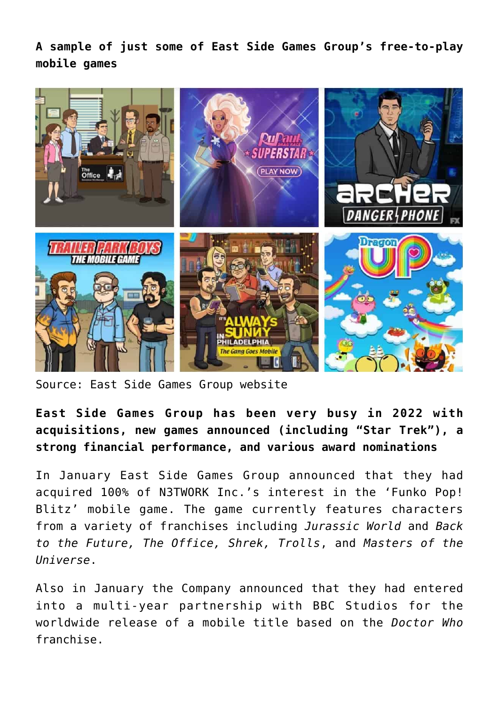**A sample of just some of East Side Games Group's free-to-play mobile games**



Source: [East Side Games Group website](https://eastsidegamesgroup.com/investors/brand-assets/)

**East Side Games Group has been very busy in 2022 with acquisitions, new games announced (including "Star Trek"), a strong financial performance, and various award nominations**

In January East Side Games Group [announced](https://investorintel.com/markets/esports-gaming/esports-gaming-news/east-side-games-group-acquires-funko-pop-blitz-mobile-game-assets-from-n3twork/) that they had acquired 100% of N3TWORK Inc.'s interest in the 'Funko Pop! Blitz' mobile game. The game currently features characters from a variety of franchises including *Jurassic World* and *Back to the Future, The Office, Shrek, Trolls*, and *Masters of the Universe*.

Also in January the Company [announced](https://investorintel.com/markets/esports-gaming/esports-gaming-news/east-side-games-group-announces-doctor-who-mobile-game/) that they had entered into a multi-year partnership with BBC Studios for the worldwide release of a mobile title based on the *Doctor Who* franchise.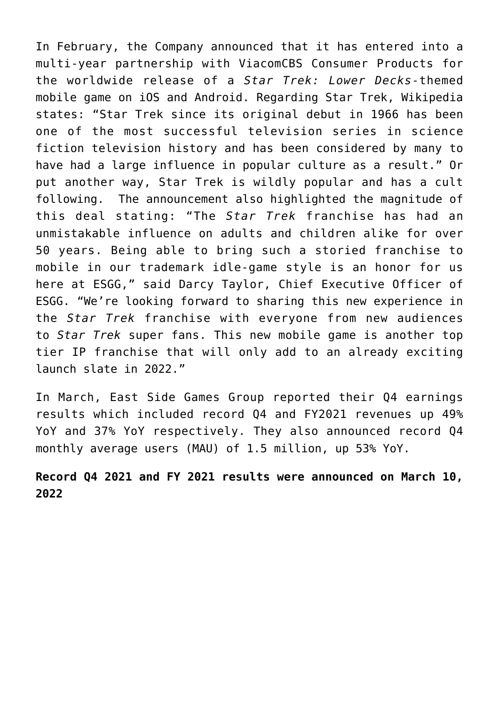In February, the Company [announced](https://investorintel.com/markets/esports-gaming/esports-gaming-news/east-side-games-group-to-develop-star-trek-themed-mobile-game-in-partnership-with-viacomcbs-consumer-products/) that it has entered into a multi-year partnership with ViacomCBS Consumer Products for the worldwide release of a *Star Trek: Lower Decks*-themed mobile game on iOS and Android. Regarding Star Trek, Wikipedia [states:](https://www.google.com/search?client=firefox-b-d&q=how+popular+is+Star+Trek) "Star Trek since its original debut in 1966 has been one of the most successful television series in science fiction television history and has been considered by many to have had a large influence in popular culture as a result." Or put another way, Star Trek is wildly popular and has a cult following. The announcement also highlighted the magnitude of this deal [stating:](https://investorintel.com/markets/esports-gaming/esports-gaming-news/east-side-games-group-to-develop-star-trek-themed-mobile-game-in-partnership-with-viacomcbs-consumer-products/) "The *Star Trek* franchise has had an unmistakable influence on adults and children alike for over 50 years. Being able to bring such a storied franchise to mobile in our trademark idle-game style is an honor for us here at ESGG," said Darcy Taylor, Chief Executive Officer of ESGG. "We're looking forward to sharing this new experience in the *Star Trek* franchise with everyone from new audiences to *Star Trek* super fans. This new mobile game is another top tier IP franchise that will only add to an already exciting launch slate in 2022."

In March, East Side Games Group reported their [Q4 earnings](https://investorintel.com/markets/esports-gaming/esports-gaming-news/east-side-games-group-reports-record-fourth-quarter-and-full-year-2021-financial-results/) [results](https://investorintel.com/markets/esports-gaming/esports-gaming-news/east-side-games-group-reports-record-fourth-quarter-and-full-year-2021-financial-results/) which included record Q4 and FY2021 revenues up 49% YoY and 37% YoY respectively. They also announced record Q4 monthly average users (MAU) of 1.5 million, up 53% YoY.

## **Record Q4 2021 and FY 2021 results were announced on March 10, 2022**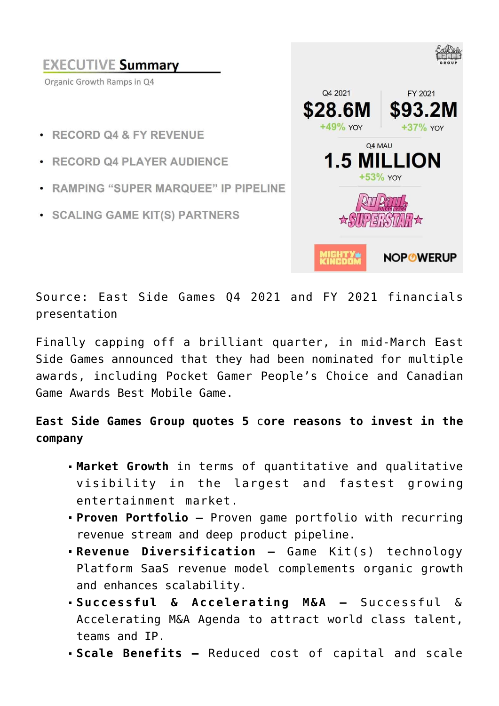#### **EXECUTIVE Summary** Organic Growth Ramps in Q4 Q4 2021 FY 2021 S28.6M \$93.21  $+49%$  YOY  $+37\%$  YOY · RECORD 04 & FY REVENUE 04 MAU **1.5 MILLION** · RECORD 04 PLAYER AUDIENCE +53% YOY • RAMPING "SUPER MARQUEE" IP PIPELINE · SCALING GAME KIT(S) PARTNERS **NOPOWERUP**

Source: [East Side Games Q4 2021 and FY 2021 financials](https://eastsidegamesgroup.com/download/210/2021-q4-financials/236986/q4-2021-presentation.pdf) [presentation](https://eastsidegamesgroup.com/download/210/2021-q4-financials/236986/q4-2021-presentation.pdf)

Finally capping off a brilliant quarter, in mid-March East Side Games [announced](https://investorintel.com/markets/esports-gaming/esports-gaming-news/east-side-games-group-nominated-for-multiple-awards-including-pocket-gamer-peoples-choice-and-canadian-game-awards-best-mobile-game/) that they had been nominated for multiple awards, including Pocket Gamer People's Choice and Canadian Game Awards Best Mobile Game.

**East Side Games Group quotes 5** c**ore reasons to invest in the company**

- **Market Growth** in terms of quantitative and qualitative visibility in the largest and fastest growing entertainment market.
- **Proven Portfolio** Proven game portfolio with recurring revenue stream and deep product pipeline.
- **Revenue Diversification** Game Kit(s) technology Platform SaaS revenue model complements organic growth and enhances scalability.
- **Successful & Accelerating M&A** Successful & Accelerating M&A Agenda to attract world class talent, teams and IP.
- **Scale Benefits** Reduced cost of capital and scale